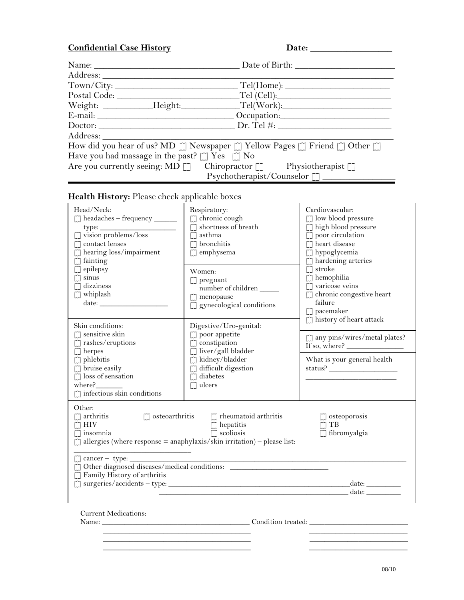## **Confidential Case History**

| Date: |
|-------|
|       |

|                                                        | Date of Birth: Date of Birth:                                                                                                                                                                                                  |  |
|--------------------------------------------------------|--------------------------------------------------------------------------------------------------------------------------------------------------------------------------------------------------------------------------------|--|
|                                                        |                                                                                                                                                                                                                                |  |
| Town/City:                                             |                                                                                                                                                                                                                                |  |
| Postal Code:                                           |                                                                                                                                                                                                                                |  |
|                                                        | Weight: ___________Height:_____________Tel(Work):_______________________________                                                                                                                                               |  |
|                                                        | E-mail: Occupation: Compared Contains Compared Compared Compared Compared Compared Compared Compared Compared Compared Compared Compared Compared Compared Compared Compared Compared Compared Compared Compared Compared Comp |  |
| $D$ Doctor: $D$ Pr. Tel #:                             |                                                                                                                                                                                                                                |  |
| Address:                                               |                                                                                                                                                                                                                                |  |
|                                                        | How did you hear of us? MD [] Newspaper [] Yellow Pages [] Friend [] Other []                                                                                                                                                  |  |
| Have you had massage in the past? $\Box$ Yes $\Box$ No |                                                                                                                                                                                                                                |  |
|                                                        | Are you currently seeing: MD [] Chiropractor [] Physiotherapist []                                                                                                                                                             |  |
| Psychotherapist/Counselor                              |                                                                                                                                                                                                                                |  |

## **Health History:** Please check applicable boxes

| Head/Neck:<br>$\Box$ headaches - frequency ______<br>$type:$ $\Box$ vision problems/loss<br>[J] contact lenses<br>$\textcolor{red}{\textbf{[}}$ hearing loss/impairment<br>$\Box$ fainting                                                                                                                                   | Respiratory:<br>[] chronic cough<br>shortness of breath<br>$\Box$ asthma<br>$\Box$ bronchitis<br>$\Box$ emphysema            | Cardiovascular:<br>$\Box$ low blood pressure<br>[] high blood pressure<br>$\Box$ poor circulation<br>[7] heart disease<br>[J] hypoglycemia<br>$\Box$ hardening arteries<br>stroke |  |  |
|------------------------------------------------------------------------------------------------------------------------------------------------------------------------------------------------------------------------------------------------------------------------------------------------------------------------------|------------------------------------------------------------------------------------------------------------------------------|-----------------------------------------------------------------------------------------------------------------------------------------------------------------------------------|--|--|
| epilepsy<br>sinus<br>$\tilde{\Box}$ dizziness<br>$\Box$ whiplash<br>date: $\frac{1}{\sqrt{1-\frac{1}{2}}\left(1-\frac{1}{2}\right)}$<br>Skin conditions:                                                                                                                                                                     | Women:<br>$\Box$ pregnant<br>number of children<br>$\Box$ menopause<br>[] gynecological conditions<br>Digestive/Uro-genital: | $\Box$<br>hemophilia<br>$\Box$ varicose veins<br>$\Box$ chronic congestive heart<br>failure<br>[7] pacemaker<br>[] history of heart attack                                        |  |  |
| $\Box$ sensitive skin<br>$\Box$ rashes/eruptions<br>$\Box$ herpes                                                                                                                                                                                                                                                            | $\Box$ poor appetite<br>$\Box$ constipation<br>[] liver/gall bladder                                                         | $\Box$ any pins/wires/metal plates?<br>If so, where? $\_\_$                                                                                                                       |  |  |
| $\Box$ phlebitis<br>[J] bruise easily<br>$\Box$ loss of sensation<br>where?<br>$\Box$ infectious skin conditions                                                                                                                                                                                                             | [] kidney/bladder<br>difficult digestion<br>diabetes<br>$\Box$ ulcers                                                        | What is your general health                                                                                                                                                       |  |  |
| Other:<br>$\mathcal{L}$ arthritis<br>$\Box$ osteoarthritis<br>$\lceil \cdot \rceil$ rheumatoid arthritis<br>$\Box$ osteoporosis<br>$\Gamma$ HIV<br>$\Box$ hepatitis<br>$\Box$ TB<br>$\Box$ scoliosis<br>[] fibromyalgia<br>$\Box$ insomnia<br>$\Box$ allergies (where response = anaphylaxis/skin irritation) – please list: |                                                                                                                              |                                                                                                                                                                                   |  |  |
| $\Box$ cancer - type: $\_\_$<br>Other diagnosed diseases/medical conditions: ___________________________________<br>I Family History of arthritis<br><u>date: date:</u>                                                                                                                                                      |                                                                                                                              |                                                                                                                                                                                   |  |  |
| <b>Current Medications:</b>                                                                                                                                                                                                                                                                                                  |                                                                                                                              |                                                                                                                                                                                   |  |  |

 $\overline{\phantom{a}}$  , and the contribution of the contribution of the contribution of the contribution of the contribution of the contribution of the contribution of the contribution of the contribution of the contribution of the